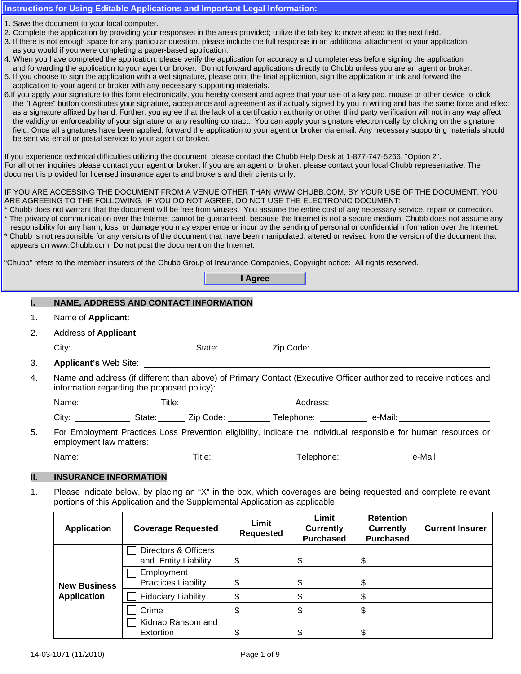#### **Instructions for Using Editable Applications and Important Legal Information:**

- 1. Save the document to your local computer.
- 2. Complete the application by providing your responses in the areas provided; utilize the tab key to move ahead to the next field. *ForeFront Portfolio 3.0SM*
- uon by providing your responses in the areas provided, utilize the tab key to move ariead to the next held.<br>Space for any particular question, please include the full response in an additional attachment to your applicatio 3. If there is not enough space for any particular question, please include the full response in an additional attachment to your application,<br>as you would if you were completing a paper-based application. as you would if you were completing a paper-based application.
- 4. When you have completed the application, please verify the application for accuracy and completeness before signing the application and forwarding the application to your agent or broker. Do not forward applications directly to Chubb unless you are an agent or broker.
- In a formaranty are application to your agent of shorth. Bo her formard applications allocaly to chase alloce you are an agent of signitude.<br>5. If you choose to sign the application with a wet signature, please print the f **FOR COVERAGE IN THE EXAMPLE THE SURVEY OF THE EXAMPLE THE EXAMPLE THE EXAMPLE AND SURVEY OF THE EXAMPLE THE EXAMPLE ADDETERTATION OF THE EXAMPLE THE EXAMPLE THE EXAMPLE THE EXAMPLE THE EXAMPLE THE EXAMPLE THE EXAMPLE THE**
- o. If you apply your signature to this form electronically, you hereby consent and agree that your use or a key pad, mouse or other device to click<br>the "I Agree" button constitutes your signature, acceptance and agreement as a signature affixed by hand. Further, you agree that the lack of a certification authority or other third party verification will not in any way affect the validity or enforceability of your signature or any resulting contract. You can apply your signature electronically by clicking on the signature field. Once all signatures have been applied, forward the application to your agent or broker via email. Any necessary supporting materials should **AMOUNT. IN NO EVENT WILL THE COMPANY BE LIABLE FOR "DEFENSE COSTS" OR THE AMOUNT OF ANY**  be sent via email or postal service to your agent or broker. 6. If you apply your signature to this form electronically, you hereby consent and agree that your use of a key pad, mouse or other device to click

If you experience technical difficulties utilizing the document, please contact the Chubb Help Desk at 1-877-747-5266, "Option 2". document is provided for licensed insurance agents and brokers and their clients only. For all other inquiries please contact your agent or broker. If you are an agent or broker, please contact your local Chubb representative. The

# IF YOU ARE ACCESSING THE DOCUMENT FROM A VENUE OTHER THAN WWW.CHUBB.COM, BY YOUR USE OF THE DOCUMENT, YOU subsidiaries, unless otherwise stated. ARE AGREEING TO THE FOLLOWING, IF YOU DO NOT AGREE, DO NOT USE THE ELECTRONIC DOCUMENT:

- \* Chubb does not warrant that the document will be free from viruses. You assume the entire cost of any necessary service, repair or correction.<br>\* The prince of communication aver the International the guaranteed because t The privacy of communication over the Internet cannot be guaranteed, because the Internet is not a secure medium. Chubb does not assume any
- The privacy or communication over the internet cannot be guaranteed, because the internet is not a secure medium. Chubb does not assume any responsibility for any harm, loss, or damage you may experience or incur by the se \* Chubb is not responsible for any versions of the document that have been manipulated, altered or revised from the version of the document that appears on www.Chubb.com. Do not post the document on the Internet.

"Chubb" refers to the member insurers of the Chubb Group of Insurance Companies, Copyright notice: All rights reserved.

|    |                         |                                             |                                       | I Agree                                                                                                            |  |
|----|-------------------------|---------------------------------------------|---------------------------------------|--------------------------------------------------------------------------------------------------------------------|--|
|    |                         |                                             | NAME, ADDRESS AND CONTACT INFORMATION |                                                                                                                    |  |
| 1. |                         |                                             |                                       |                                                                                                                    |  |
| 2. |                         |                                             |                                       |                                                                                                                    |  |
|    |                         |                                             |                                       |                                                                                                                    |  |
| 3. |                         |                                             |                                       |                                                                                                                    |  |
| 4. |                         | information regarding the proposed policy): |                                       | Name and address (if different than above) of Primary Contact (Executive Officer authorized to receive notices and |  |
|    |                         |                                             |                                       |                                                                                                                    |  |
|    |                         |                                             |                                       |                                                                                                                    |  |
| 5. | employment law matters: |                                             |                                       | For Employment Practices Loss Prevention eligibility, indicate the individual responsible for human resources or   |  |
|    |                         |                                             |                                       |                                                                                                                    |  |

## **II. INSURANCE INFORMATION**

1. Please indicate below, by placing an "X" in the box, which coverages are being requested and complete relevant portions of this Application and the Supplemental Application as applicable.

| <b>Application</b>  | <b>Coverage Requested</b>                    | Limit<br><b>Requested</b> | Limit<br><b>Currently</b><br><b>Purchased</b> | <b>Retention</b><br><b>Currently</b><br><b>Purchased</b> | <b>Current Insurer</b> |
|---------------------|----------------------------------------------|---------------------------|-----------------------------------------------|----------------------------------------------------------|------------------------|
|                     | Directors & Officers<br>and Entity Liability | \$                        | \$                                            | \$                                                       |                        |
| <b>New Business</b> | Employment<br><b>Practices Liability</b>     | \$                        | \$                                            | \$                                                       |                        |
| <b>Application</b>  | <b>Fiduciary Liability</b>                   |                           | \$                                            |                                                          |                        |
|                     | Crime                                        |                           | \$                                            | \$                                                       |                        |
|                     | Kidnap Ransom and<br><b>Extortion</b>        |                           | \$                                            | S                                                        |                        |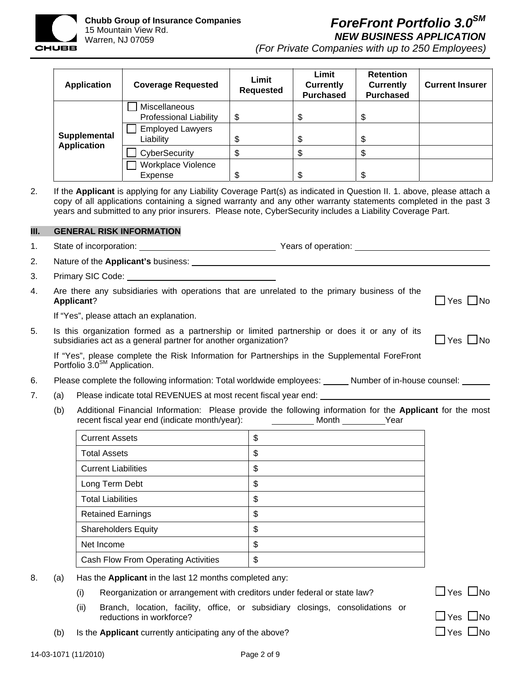

**Chubb Group of Insurance Companies**  15 Mountain View Rd. Warren, NJ 07059

# *ForeFront Portfolio 3.0SM NEW BUSINESS APPLICATION*

*(For Private Companies with up to 250 Employees)*

| <b>Application</b> | <b>Coverage Requested</b>                      | Limit<br><b>Requested</b> | Limit<br><b>Currently</b><br><b>Purchased</b> | <b>Retention</b><br><b>Currently</b><br><b>Purchased</b> | <b>Current Insurer</b> |
|--------------------|------------------------------------------------|---------------------------|-----------------------------------------------|----------------------------------------------------------|------------------------|
|                    | Miscellaneous<br><b>Professional Liability</b> | \$                        | \$                                            | J                                                        |                        |
| Supplemental       | <b>Employed Lawyers</b><br>Liability           | \$                        | \$                                            | ۰D                                                       |                        |
| <b>Application</b> | CyberSecurity                                  | \$                        | \$                                            | Φ                                                        |                        |
|                    | Workplace Violence<br>Expense                  | \$                        | \$                                            | \$                                                       |                        |

2. If the **Applicant** is applying for any Liability Coverage Part(s) as indicated in Question II. 1. above, please attach a copy of all applications containing a signed warranty and any other warranty statements completed in the past 3 years and submitted to any prior insurers. Please note, CyberSecurity includes a Liability Coverage Part.

## **III. GENERAL RISK INFORMATION**

|  |  | State of incorporation: | Years of operation: |
|--|--|-------------------------|---------------------|
|--|--|-------------------------|---------------------|

- 2. Nature of the **Applicant's** business:
- 3. Primary SIC Code:
- 4. Are there any subsidiaries with operations that are unrelated to the primary business of the **Applicant**? Yes No

If "Yes", please attach an explanation.

5. Is this organization formed as a partnership or limited partnership or does it or any of its subsidiaries act as a general partner for another organization?  $\Box$  Yes  $\Box$  No

If "Yes", please complete the Risk Information for Partnerships in the Supplemental ForeFront Portfolio 3.0<sup>SM</sup> Application.

- 6. Please complete the following information: Total worldwide employees: \_\_\_\_\_\_ Number of in-house counsel: \_\_\_\_\_\_
- 7. (a) Please indicate total REVENUES at most recent fiscal year end:
	- (b) Additional Financial Information: Please provide the following information for the **Applicant** for the most recent fiscal year end (indicate month/year): Month Mean Month Year

| <b>Current Assets</b>               | \$ |
|-------------------------------------|----|
| <b>Total Assets</b>                 | \$ |
| <b>Current Liabilities</b>          | \$ |
| Long Term Debt                      | \$ |
| <b>Total Liabilities</b>            | \$ |
| <b>Retained Earnings</b>            | \$ |
| <b>Shareholders Equity</b>          | \$ |
| Net Income                          | \$ |
| Cash Flow From Operating Activities | \$ |

- 8. (a) Has the **Applicant** in the last 12 months completed any:
	- (i) Reorganization or arrangement with creditors under federal or state law?  $\Box$  Yes  $\Box$  No
	- (ii) Branch, location, facility, office, or subsidiary closings, consolidations or reductions in workforce?
	- (b) Is the **Applicant** currently anticipating any of the above?  $\Box$  Yes  $\Box$  Yes  $\Box$  No

| Yes | JNo  |
|-----|------|
|     | N.L. |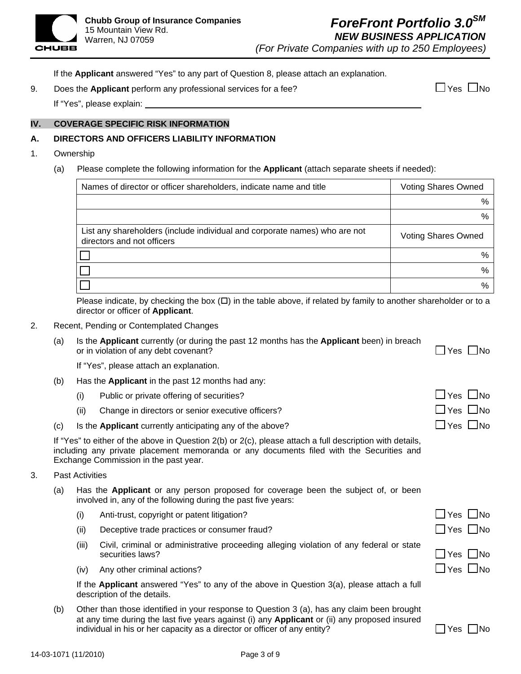

If the **Applicant** answered "Yes" to any part of Question 8, please attach an explanation.

9. Does the **Applicant** perform any professional services for a fee?  $\Box$  Yes  $\Box$  Yes  $\Box$  No

If "Yes", please explain:

# **IV. COVERAGE SPECIFIC RISK INFORMATION**

## **A. DIRECTORS AND OFFICERS LIABILITY INFORMATION**

#### 1. Ownership

(a) Please complete the following information for the **Applicant** (attach separate sheets if needed):

| Names of director or officer shareholders, indicate name and title                                       | <b>Voting Shares Owned</b> |
|----------------------------------------------------------------------------------------------------------|----------------------------|
|                                                                                                          | %                          |
|                                                                                                          | $\%$                       |
| List any shareholders (include individual and corporate names) who are not<br>directors and not officers | <b>Voting Shares Owned</b> |
|                                                                                                          | %                          |
|                                                                                                          | %                          |
|                                                                                                          | %                          |

Please indicate, by checking the box  $(D)$  in the table above, if related by family to another shareholder or to a director or officer of **Applicant**.

- 2. Recent, Pending or Contemplated Changes
	- (a) Is the **Applicant** currently (or during the past 12 months has the **Applicant** been) in breach or in violation of any debt covenant? 
	<br>
	O Yes 
	No

If "Yes", please attach an explanation.

- (b) Has the **Applicant** in the past 12 months had any:
	- (i) Public or private offering of securities?  $\Box$  Yes  $\Box$  No
	- (ii) Change in directors or senior executive officers?  $\Box$  Yes  $\Box$  Yes  $\Box$  No
- (c) Is the **Applicant** currently anticipating any of the above?  $\Box$  Yes  $\Box$  Yes  $\Box$  No

|  |                                       | If "Yes" to either of the above in Question 2(b) or 2(c), please attach a full description with details, |  |  |  |  |
|--|---------------------------------------|----------------------------------------------------------------------------------------------------------|--|--|--|--|
|  |                                       | including any private placement memoranda or any documents filed with the Securities and                 |  |  |  |  |
|  | Exchange Commission in the past year. |                                                                                                          |  |  |  |  |

- 3. Past Activities
	- (a) Has the **Applicant** or any person proposed for coverage been the subject of, or been involved in, any of the following during the past five years:
		- (i) Anti-trust, copyright or patent litigation?  $\Box$  Yes  $\Box$  No
		- (ii) Deceptive trade practices or consumer fraud?  $\Box$  Yes  $\Box$  No
		- (iii) Civil, criminal or administrative proceeding alleging violation of any federal or state securities laws? 
		<br>
		No executive securities laws?
		- (iv) Any other criminal actions?  $\Box$  Yes  $\Box$  No

If the **Applicant** answered "Yes" to any of the above in Question 3(a), please attach a full description of the details.

(b) Other than those identified in your response to Question 3 (a), has any claim been brought at any time during the last five years against (i) any **Applicant** or (ii) any proposed insured individual in his or her capacity as a director or officer of any entity?  $\begin{bmatrix} \n\end{bmatrix}$ 

|  | Nο |
|--|----|
|--|----|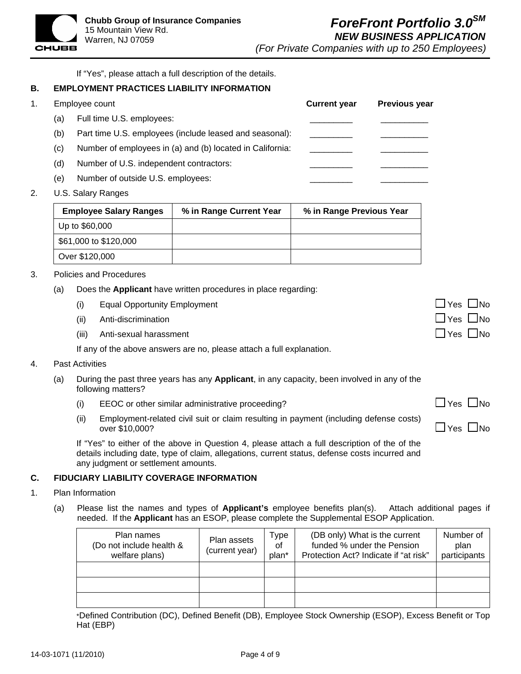If "Yes", please attach a full description of the details.

# **B. EMPLOYMENT PRACTICES LIABILITY INFORMATION**

1. Employee count **Current year Previous year**

CHUBB

- (a) Full time U.S. employees:
- (b) Part time U.S. employees (include leased and seasonal):
- $(c)$  Number of employees in (a) and (b) located in California:
- (d) Number of U.S. independent contractors:
- (e) Number of outside U.S. employees:
- 2. U.S. Salary Ranges

| <b>Employee Salary Ranges</b> | % in Range Current Year | % in Range Previous Year |
|-------------------------------|-------------------------|--------------------------|
| Up to \$60,000                |                         |                          |
| \$61,000 to \$120,000         |                         |                          |
| Over \$120,000                |                         |                          |

- 3. Policies and Procedures
	- (a) Does the **Applicant** have written procedures in place regarding:
		- (i) Equal Opportunity Employment Yes  $\Box$  Yes  $\Box$  No
		- (ii) Anti-discrimination
		- (iii) Anti-sexual harassment

If any of the above answers are no, please attach a full explanation.

### 4. Past Activities

- (a) During the past three years has any **Applicant**, in any capacity, been involved in any of the following matters?
	- (i) EEOC or other similar administrative proceeding?  $\Box$  Yes  $\Box$  Yes  $\Box$  No
	- (ii) Employment-related civil suit or claim resulting in payment (including defense costs)  $\Box$  over \$10,000?  $\Box$  Yes  $\Box$  No

If "Yes" to either of the above in Question 4, please attach a full description of the of the details including date, type of claim, allegations, current status, defense costs incurred and any judgment or settlement amounts.

### **C. FIDUCIARY LIABILITY COVERAGE INFORMATION**

- 1. Plan Information
	- (a) Please list the names and types of **Applicant's** employee benefits plan(s). Attach additional pages if needed. If the **Applicant** has an ESOP, please complete the Supplemental ESOP Application.

| Plan names<br>(Do not include health &<br>welfare plans) | Plan assets<br>(current year) | Type<br>οf<br>plan* | (DB only) What is the current<br>funded % under the Pension<br>Protection Act? Indicate if "at risk" | Number of<br>plan<br>participants |
|----------------------------------------------------------|-------------------------------|---------------------|------------------------------------------------------------------------------------------------------|-----------------------------------|
|                                                          |                               |                     |                                                                                                      |                                   |
|                                                          |                               |                     |                                                                                                      |                                   |
|                                                          |                               |                     |                                                                                                      |                                   |

\*Defined Contribution (DC), Defined Benefit (DB), Employee Stock Ownership (ESOP), Excess Benefit or Top Hat (EBP)

| שווו כשזו ו          |  |
|----------------------|--|
| $\Box$ Yes $\Box$ No |  |
| $\Box$ Yes $\Box$ No |  |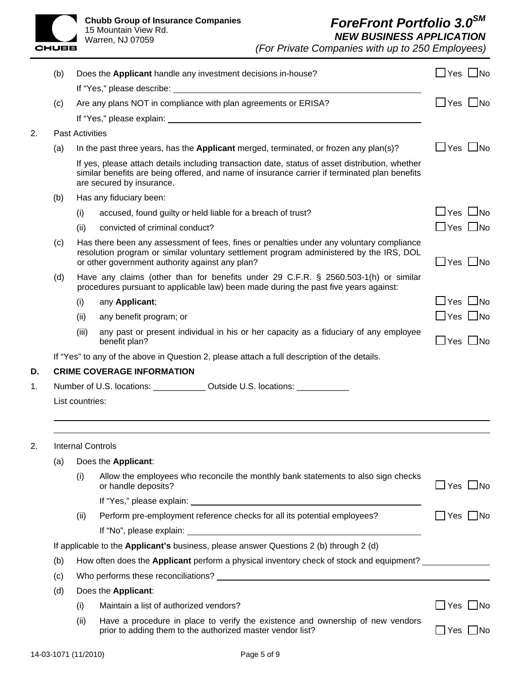**Chubb Group of Insurance Companies**  15 Mountain View Rd.

| <b>CHUBB</b> | <b>Chubb Group of Insu</b><br>15 Mountain View Rd.<br>Warren, NJ 07059 |
|--------------|------------------------------------------------------------------------|
|              | .                                                                      |

*(For Private Companies with up to 250 Employees)*

|    | (b)                                                                                           |                                                                                                                                                                                                                                        | Does the Applicant handle any investment decisions in-house?                                                                                                                | $\Box$ Yes $\Box$ No       |  |  |  |
|----|-----------------------------------------------------------------------------------------------|----------------------------------------------------------------------------------------------------------------------------------------------------------------------------------------------------------------------------------------|-----------------------------------------------------------------------------------------------------------------------------------------------------------------------------|----------------------------|--|--|--|
|    |                                                                                               |                                                                                                                                                                                                                                        |                                                                                                                                                                             |                            |  |  |  |
|    | (c)                                                                                           |                                                                                                                                                                                                                                        | Are any plans NOT in compliance with plan agreements or ERISA?                                                                                                              | $\Box$ Yes $\Box$ No       |  |  |  |
|    |                                                                                               |                                                                                                                                                                                                                                        |                                                                                                                                                                             |                            |  |  |  |
| 2. |                                                                                               | <b>Past Activities</b>                                                                                                                                                                                                                 |                                                                                                                                                                             |                            |  |  |  |
|    | (a)                                                                                           |                                                                                                                                                                                                                                        | In the past three years, has the Applicant merged, terminated, or frozen any plan(s)?                                                                                       | $\Box$ Yes $\Box$ No       |  |  |  |
|    |                                                                                               | If yes, please attach details including transaction date, status of asset distribution, whether<br>similar benefits are being offered, and name of insurance carrier if terminated plan benefits<br>are secured by insurance.          |                                                                                                                                                                             |                            |  |  |  |
|    | (b)                                                                                           | Has any fiduciary been:                                                                                                                                                                                                                |                                                                                                                                                                             |                            |  |  |  |
|    |                                                                                               | (i)                                                                                                                                                                                                                                    | accused, found guilty or held liable for a breach of trust?                                                                                                                 | $\Box$ Yes $\Box$ No       |  |  |  |
|    |                                                                                               | (ii)                                                                                                                                                                                                                                   | convicted of criminal conduct?                                                                                                                                              | $\Box$ Yes $\Box$ No       |  |  |  |
|    | (c)                                                                                           | Has there been any assessment of fees, fines or penalties under any voluntary compliance<br>resolution program or similar voluntary settlement program administered by the IRS, DOL<br>or other government authority against any plan? |                                                                                                                                                                             | $\Box$ Yes $\Box$ No       |  |  |  |
|    | (d)                                                                                           |                                                                                                                                                                                                                                        | Have any claims (other than for benefits under 29 C.F.R. § 2560.503-1(h) or similar<br>procedures pursuant to applicable law) been made during the past five years against: |                            |  |  |  |
|    |                                                                                               | (i)                                                                                                                                                                                                                                    | any Applicant;                                                                                                                                                              | $\Box$ Yes $\Box$ No       |  |  |  |
|    |                                                                                               | (ii)                                                                                                                                                                                                                                   | any benefit program; or                                                                                                                                                     | $\Box$ Yes $\Box$ No       |  |  |  |
|    |                                                                                               | (iii)                                                                                                                                                                                                                                  | any past or present individual in his or her capacity as a fiduciary of any employee<br>benefit plan?                                                                       | $\Box$ Yes $\Box$ No       |  |  |  |
|    |                                                                                               |                                                                                                                                                                                                                                        | If "Yes" to any of the above in Question 2, please attach a full description of the details.                                                                                |                            |  |  |  |
| D. |                                                                                               |                                                                                                                                                                                                                                        | <b>CRIME COVERAGE INFORMATION</b>                                                                                                                                           |                            |  |  |  |
| 1. |                                                                                               | Number of U.S. locations: _____________ Outside U.S. locations: ____________                                                                                                                                                           |                                                                                                                                                                             |                            |  |  |  |
|    |                                                                                               | List countries:                                                                                                                                                                                                                        |                                                                                                                                                                             |                            |  |  |  |
| 2. |                                                                                               |                                                                                                                                                                                                                                        | <b>Internal Controls</b>                                                                                                                                                    |                            |  |  |  |
|    | (a)                                                                                           |                                                                                                                                                                                                                                        | Does the Applicant:                                                                                                                                                         |                            |  |  |  |
|    |                                                                                               | (i)                                                                                                                                                                                                                                    | Allow the employees who reconcile the monthly bank statements to also sign checks<br>or handle deposits?                                                                    | $\square$ Yes $\square$ No |  |  |  |
|    |                                                                                               |                                                                                                                                                                                                                                        |                                                                                                                                                                             |                            |  |  |  |
|    |                                                                                               | (ii)                                                                                                                                                                                                                                   | Perform pre-employment reference checks for all its potential employees?                                                                                                    | $\Box$ Yes $\Box$ No       |  |  |  |
|    |                                                                                               |                                                                                                                                                                                                                                        |                                                                                                                                                                             |                            |  |  |  |
|    | If applicable to the <b>Applicant's</b> business, please answer Questions 2 (b) through 2 (d) |                                                                                                                                                                                                                                        |                                                                                                                                                                             |                            |  |  |  |
|    | (b)                                                                                           |                                                                                                                                                                                                                                        | How often does the Applicant perform a physical inventory check of stock and equipment?                                                                                     |                            |  |  |  |
|    | (c)                                                                                           |                                                                                                                                                                                                                                        |                                                                                                                                                                             |                            |  |  |  |
|    | (d)                                                                                           |                                                                                                                                                                                                                                        | Does the Applicant:                                                                                                                                                         |                            |  |  |  |
|    |                                                                                               | (i)                                                                                                                                                                                                                                    | Maintain a list of authorized vendors?                                                                                                                                      | $\Box$ Yes $\Box$ No       |  |  |  |
|    |                                                                                               | (ii)                                                                                                                                                                                                                                   | Have a procedure in place to verify the existence and ownership of new vendors<br>prior to adding them to the authorized master vendor list?                                | $\Box$ Yes $\Box$ No       |  |  |  |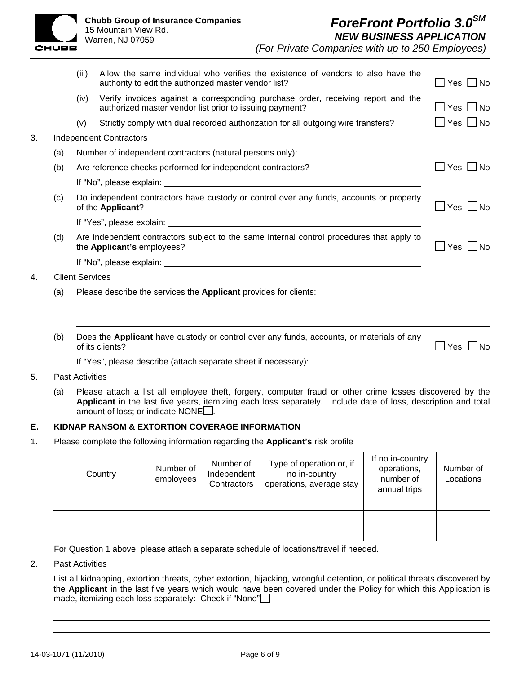

|    |                                | (iii)                                                                            | Allow the same individual who verifies the existence of vendors to also have the<br>authority to edit the authorized master vendor list?    | $\Box$ Yes $\Box$ No |  |  |
|----|--------------------------------|----------------------------------------------------------------------------------|---------------------------------------------------------------------------------------------------------------------------------------------|----------------------|--|--|
|    |                                | (iv)                                                                             | Verify invoices against a corresponding purchase order, receiving report and the<br>authorized master vendor list prior to issuing payment? | ∐ Yes ∐No            |  |  |
|    |                                | (v)                                                                              | Strictly comply with dual recorded authorization for all outgoing wire transfers?                                                           | 」Yes □No             |  |  |
| 3. | <b>Independent Contractors</b> |                                                                                  |                                                                                                                                             |                      |  |  |
|    | (a)                            | Number of independent contractors (natural persons only): ______________________ |                                                                                                                                             |                      |  |  |
|    | (b)                            |                                                                                  | Are reference checks performed for independent contractors?                                                                                 | ∐ Yes ∐No            |  |  |
|    |                                |                                                                                  |                                                                                                                                             |                      |  |  |
|    | (c)                            |                                                                                  | Do independent contractors have custody or control over any funds, accounts or property<br>of the Applicant?                                | JYes ∐No             |  |  |
|    |                                |                                                                                  |                                                                                                                                             |                      |  |  |
|    | (d)                            |                                                                                  | Are independent contractors subject to the same internal control procedures that apply to<br>the Applicant's employees?                     | Yes □No              |  |  |
|    |                                |                                                                                  |                                                                                                                                             |                      |  |  |
| 4. | <b>Client Services</b>         |                                                                                  |                                                                                                                                             |                      |  |  |
|    | (a)                            |                                                                                  | Please describe the services the <b>Applicant</b> provides for clients:                                                                     |                      |  |  |
|    |                                |                                                                                  |                                                                                                                                             |                      |  |  |
|    | (b)                            |                                                                                  | Does the Applicant have custody or control over any funds, accounts, or materials of any<br>of its clients?                                 | Yes<br>l INo         |  |  |
|    |                                |                                                                                  | If "Yes", please describe (attach separate sheet if necessary): ________________                                                            |                      |  |  |
| 5. |                                | <b>Past Activities</b>                                                           |                                                                                                                                             |                      |  |  |

(a) Please attach a list all employee theft, forgery, computer fraud or other crime losses discovered by the **Applicant** in the last five years, itemizing each loss separately. Include date of loss, description and total amount of loss; or indicate NONE $\square$ .

# **E. KIDNAP RANSOM & EXTORTION COVERAGE INFORMATION**

1. Please complete the following information regarding the **Applicant's** risk profile

| Country | Number of<br>employees | Number of<br>Independent<br>Contractors | Type of operation or, if<br>no in-country<br>operations, average stay | If no in-country<br>operations,<br>number of<br>annual trips | Number of<br>Locations |
|---------|------------------------|-----------------------------------------|-----------------------------------------------------------------------|--------------------------------------------------------------|------------------------|
|         |                        |                                         |                                                                       |                                                              |                        |
|         |                        |                                         |                                                                       |                                                              |                        |
|         |                        |                                         |                                                                       |                                                              |                        |

For Question 1 above, please attach a separate schedule of locations/travel if needed.

2. Past Activities

List all kidnapping, extortion threats, cyber extortion, hijacking, wrongful detention, or political threats discovered by the **Applicant** in the last five years which would have been covered under the Policy for which this Application is made, itemizing each loss separately: Check if "None"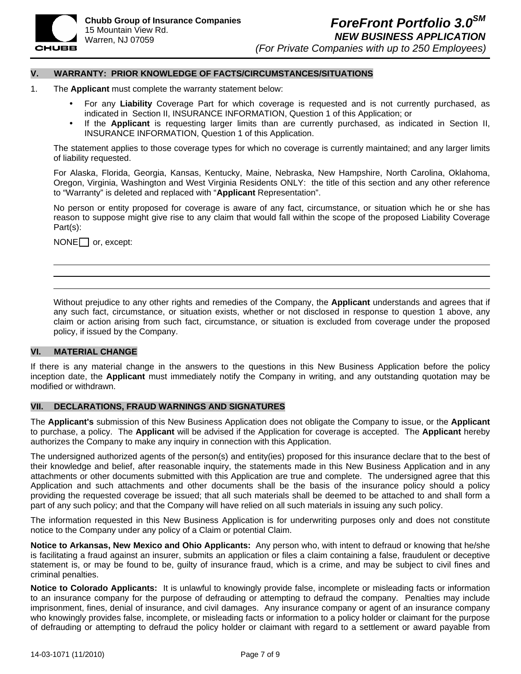

#### **V. WARRANTY: PRIOR KNOWLEDGE OF FACTS/CIRCUMSTANCES/SITUATIONS**

- 1. The **Applicant** must complete the warranty statement below:
	- For any Liability Coverage Part for which coverage is requested and is not currently purchased, as indicated in Section II, INSURANCE INFORMATION, Question 1 of this Application; or
	- If the **Applicant** is requesting larger limits than are currently purchased, as indicated in Section II, INSURANCE INFORMATION, Question 1 of this Application.

The statement applies to those coverage types for which no coverage is currently maintained; and any larger limits of liability requested.

For Alaska, Florida, Georgia, Kansas, Kentucky, Maine, Nebraska, New Hampshire, North Carolina, Oklahoma, Oregon, Virginia, Washington and West Virginia Residents ONLY: the title of this section and any other reference to "Warranty" is deleted and replaced with "**Applicant** Representation".

No person or entity proposed for coverage is aware of any fact, circumstance, or situation which he or she has reason to suppose might give rise to any claim that would fall within the scope of the proposed Liability Coverage Part(s):

 $NONE$  or, except:

Without prejudice to any other rights and remedies of the Company, the **Applicant** understands and agrees that if any such fact, circumstance, or situation exists, whether or not disclosed in response to question 1 above, any claim or action arising from such fact, circumstance, or situation is excluded from coverage under the proposed policy, if issued by the Company.

### **VI. MATERIAL CHANGE**

If there is any material change in the answers to the questions in this New Business Application before the policy inception date, the **Applicant** must immediately notify the Company in writing, and any outstanding quotation may be modified or withdrawn.

#### **VII. DECLARATIONS, FRAUD WARNINGS AND SIGNATURES**

The **Applicant's** submission of this New Business Application does not obligate the Company to issue, or the **Applicant**  to purchase, a policy. The **Applicant** will be advised if the Application for coverage is accepted. The **Applicant** hereby authorizes the Company to make any inquiry in connection with this Application.

The undersigned authorized agents of the person(s) and entity(ies) proposed for this insurance declare that to the best of their knowledge and belief, after reasonable inquiry, the statements made in this New Business Application and in any attachments or other documents submitted with this Application are true and complete. The undersigned agree that this Application and such attachments and other documents shall be the basis of the insurance policy should a policy providing the requested coverage be issued; that all such materials shall be deemed to be attached to and shall form a part of any such policy; and that the Company will have relied on all such materials in issuing any such policy.

The information requested in this New Business Application is for underwriting purposes only and does not constitute notice to the Company under any policy of a Claim or potential Claim.

**Notice to Arkansas, New Mexico and Ohio Applicants:** Any person who, with intent to defraud or knowing that he/she is facilitating a fraud against an insurer, submits an application or files a claim containing a false, fraudulent or deceptive statement is, or may be found to be, guilty of insurance fraud, which is a crime, and may be subject to civil fines and criminal penalties.

**Notice to Colorado Applicants:** It is unlawful to knowingly provide false, incomplete or misleading facts or information to an insurance company for the purpose of defrauding or attempting to defraud the company. Penalties may include imprisonment, fines, denial of insurance, and civil damages. Any insurance company or agent of an insurance company who knowingly provides false, incomplete, or misleading facts or information to a policy holder or claimant for the purpose of defrauding or attempting to defraud the policy holder or claimant with regard to a settlement or award payable from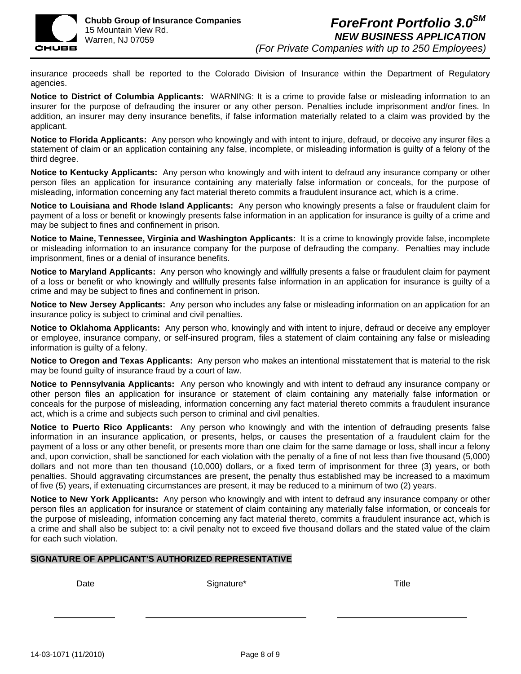

insurance proceeds shall be reported to the Colorado Division of Insurance within the Department of Regulatory agencies.

**Notice to District of Columbia Applicants:** WARNING: It is a crime to provide false or misleading information to an insurer for the purpose of defrauding the insurer or any other person. Penalties include imprisonment and/or fines. In addition, an insurer may deny insurance benefits, if false information materially related to a claim was provided by the applicant.

**Notice to Florida Applicants:** Any person who knowingly and with intent to injure, defraud, or deceive any insurer files a statement of claim or an application containing any false, incomplete, or misleading information is guilty of a felony of the third degree.

**Notice to Kentucky Applicants:** Any person who knowingly and with intent to defraud any insurance company or other person files an application for insurance containing any materially false information or conceals, for the purpose of misleading, information concerning any fact material thereto commits a fraudulent insurance act, which is a crime.

**Notice to Louisiana and Rhode Island Applicants:** Any person who knowingly presents a false or fraudulent claim for payment of a loss or benefit or knowingly presents false information in an application for insurance is guilty of a crime and may be subject to fines and confinement in prison.

**Notice to Maine, Tennessee, Virginia and Washington Applicants:** It is a crime to knowingly provide false, incomplete or misleading information to an insurance company for the purpose of defrauding the company. Penalties may include imprisonment, fines or a denial of insurance benefits.

**Notice to Maryland Applicants:** Any person who knowingly and willfully presents a false or fraudulent claim for payment of a loss or benefit or who knowingly and willfully presents false information in an application for insurance is guilty of a crime and may be subject to fines and confinement in prison.

**Notice to New Jersey Applicants:** Any person who includes any false or misleading information on an application for an insurance policy is subject to criminal and civil penalties.

**Notice to Oklahoma Applicants:** Any person who, knowingly and with intent to injure, defraud or deceive any employer or employee, insurance company, or self-insured program, files a statement of claim containing any false or misleading information is guilty of a felony.

**Notice to Oregon and Texas Applicants:** Any person who makes an intentional misstatement that is material to the risk may be found guilty of insurance fraud by a court of law.

**Notice to Pennsylvania Applicants:** Any person who knowingly and with intent to defraud any insurance company or other person files an application for insurance or statement of claim containing any materially false information or conceals for the purpose of misleading, information concerning any fact material thereto commits a fraudulent insurance act, which is a crime and subjects such person to criminal and civil penalties.

**Notice to Puerto Rico Applicants:** Any person who knowingly and with the intention of defrauding presents false information in an insurance application, or presents, helps, or causes the presentation of a fraudulent claim for the payment of a loss or any other benefit, or presents more than one claim for the same damage or loss, shall incur a felony and, upon conviction, shall be sanctioned for each violation with the penalty of a fine of not less than five thousand (5,000) dollars and not more than ten thousand (10,000) dollars, or a fixed term of imprisonment for three (3) years, or both penalties. Should aggravating circumstances are present, the penalty thus established may be increased to a maximum of five (5) years, if extenuating circumstances are present, it may be reduced to a minimum of two (2) years.

**Notice to New York Applicants:** Any person who knowingly and with intent to defraud any insurance company or other person files an application for insurance or statement of claim containing any materially false information, or conceals for the purpose of misleading, information concerning any fact material thereto, commits a fraudulent insurance act, which is a crime and shall also be subject to: a civil penalty not to exceed five thousand dollars and the stated value of the claim for each such violation.

# **SIGNATURE OF APPLICANT'S AUTHORIZED REPRESENTATIVE**

Date **Signature** Signature **Signature Title** Title